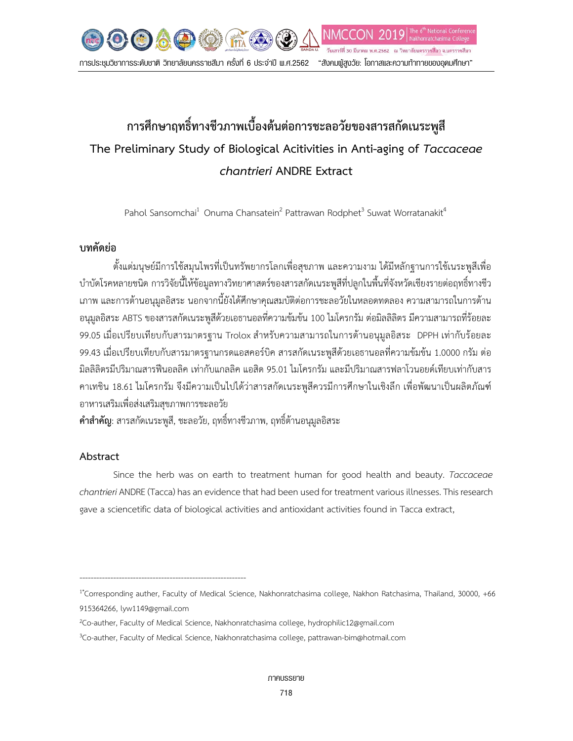

# **การศึกษาฤทธิ์ทางชีวภาพเบื้องตนตอการชะลอวัยของสารสกัดเนระพูสี The Preliminary Study of Biological Acitivities in Anti-aging of** *Taccaceae chantrieri* **ANDRE Extract**

Pahol Sansomchai<sup>1</sup> Onuma Chansatein<sup>2</sup> Pattrawan Rodphet<sup>3</sup> Suwat Worratanakit<sup>4</sup>

## **บทคัดยอ**

ตั้งแตมนุษยมีการใชสมุนไพรที่เปนทรัพยากรโลกเพื่อสุขภาพ และความงาม ไดมีหลักฐานการใชเนระพูสีเพื่อ บําบัดโรคหลายชนิด การวิจัยนี้ใหขอมูลทางวิทยาศาสตรของสารสกัดเนระพูสีที่ปลูกในพื้นที่จังหวัดเชียงรายตอฤทธิ์ทางชีว เภาพ และการต้านอนุมูลอิสระ นอกจากนี้ยังได้ศึกษาคุณสมบัติต่อการชะลอวัยในหลอดทดลอง ความสามารถในการต้าน อนุมูลอิสระ ABTS ของสารสกัดเนระพูสีดวยเอธานอลที่ความขมขน 100 ไมโครกรัม ตอมิลลิลิตร มีความสามารถที่รอยละ 99.05 เมื่อเปรียบเทียบกับสารมาตรฐาน Trolox สำหรับความสามารถในการต้านอนุมูลอิสระ DPPH เท่ากับร้อยละ 99.43 เมื่อเปรียบเทียบกับสารมาตรฐานกรดแอสคอร์บิค สารสกัดเนระพูสีด้วยเอธานอลที่ความข้มข้น 1.0000 กรัม ต่อ มิลลิลิตรมีปริมาณสารฟนอลลิค เทากับแกลลิค แอสิด 95.01 ไมโครกรัม และมีปริมาณสารฟลาโวนอยดเทียบเทากับสาร คาเทชิน 18.61 ไมโครกรัม จึงมีความเปนไปไดวาสารสกัดเนระพูสีควรมีการศึกษาในเชิงลึก เพื่อพัฒนาเปนผลิตภัณฑ อาหารเสริมเพื่อสงเสริมสุขภาพการชะลอวัย

**คําสําคัญ**: สารสกัดเนระพูสี, ชะลอวัย, ฤทธิ์ทางชีวภาพ, ฤทธิ์ตานอนุมูลอิสระ

-----------------------------------------------------------

## **Abstract**

Since the herb was on earth to treatment human for good health and beauty. *Taccaceae chantrieri* ANDRE(Tacca)has an evidence that had been used for treatment various illnesses. This research gave a sciencetific data of biological activities and antioxidant activities found in Tacca extract,

<sup>1\*</sup>Corresponding auther, Faculty of Medical Science, Nakhonratchasima college, Nakhon Ratchasima, Thailand, 30000, +66 915364266, lyw1149@gmail.com

<sup>2</sup> Co-auther, Faculty of Medical Science, Nakhonratchasima college, hydrophilic12@gmail.com

<sup>3</sup> Co-auther, Faculty of Medical Science, Nakhonratchasima college, pattrawan-bim@hotmail.com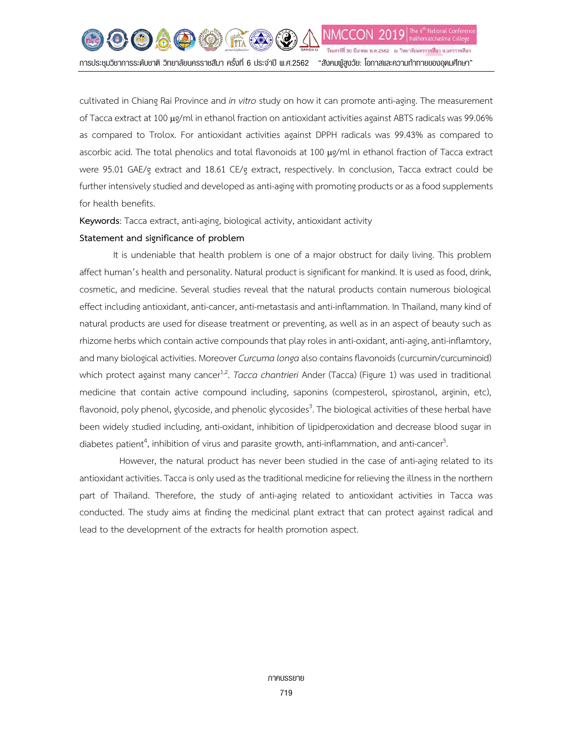cultivated in Chiang Rai Province and *in vitro* study on how it can promote anti-aging. The measurement of Tacca extract at 100 µg/ml in ethanol fraction on antioxidant activities against ABTS radicals was 99.06% as compared to Trolox. For antioxidant activities against DPPH radicals was 99.43% as compared to ascorbic acid. The total phenolics and total flavonoids at 100 µg/ml in ethanol fraction of Tacca extract were 95.01 GAE/g extract and 18.61 CE/g extract, respectively. In conclusion, Tacca extract could be further intensively studied and developed as anti-aging with promoting products or as a food supplements for health benefits.

**Keywords**: Tacca extract, anti-aging, biological activity, antioxidant activity

### **Statement and significance of problem**

It is undeniable that health problem is one of a major obstruct for daily living. This problem affect human's health and personality. Natural product is significant for mankind. It is used as food, drink, cosmetic, and medicine. Several studies reveal that the natural products contain numerous biological effect including antioxidant, anti-cancer, anti-metastasis and anti-inflammation. In Thailand, many kind of natural products are used for disease treatment or preventing, as well as in an aspect of beauty such as rhizome herbs which contain active compounds that play roles in anti-oxidant, anti-aging, anti-inflamtory, and many biological activities. Moreover *Curcuma longa*also contains flavonoids (curcumin/curcuminoid) which protect against many cancer<sup>1,2</sup>. *Tacca chantrieri* Ander (Tacca) (Figure 1) was used in traditional medicine that contain active compound including, saponins (compesterol, spirostanol, arginin, etc), flavonoid, poly phenol, glycoside, and phenolic glycosides<sup>3</sup>. The biological activities of these herbal have been widely studied including, anti-oxidant, inhibition of lipidperoxidation and decrease blood sugar in diabetes patient<sup>4</sup>, inhibition of virus and parasite growth, anti-inflammation, and anti-cancer<sup>5</sup> .

However, the natural product has never been studied in the case of anti-aging related to its antioxidant activities. Tacca is only used as the traditional medicine for relieving the illness in the northern part of Thailand. Therefore, the study of anti-aging related to antioxidant activities in Tacca was conducted. The study aims at finding the medicinal plant extract that can protect against radical and lead to the development of the extracts for health promotion aspect.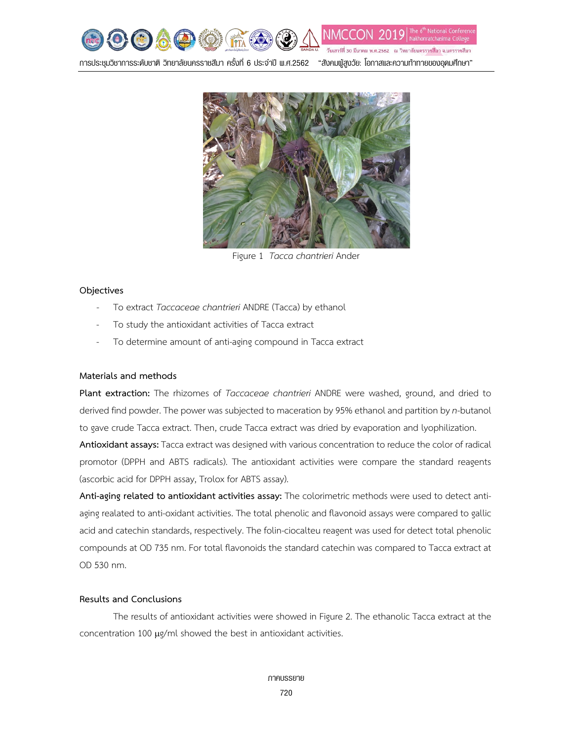

การประชุมวิชาการระดับชาติ วิทยาลัยนครราชสีมา ครั้งที่ 6 ประจําป พ.ศ.2562 "สังคมผูสูงวัย: โอกาสและความทาทายของอุดมศึกษา"



Figure 1 *Tacca chantrieri* Ander

#### **Objectives**

- To extract *Taccaceae chantrieri* ANDRE (Tacca) by ethanol
- To study the antioxidant activities of Tacca extract
- To determine amount of anti-aging compound in Tacca extract

#### **Materials and methods**

**Plant extraction:** The rhizomes of *Taccaceae chantrieri* ANDRE were washed, ground, and dried to derived find powder. The power was subjected to maceration by 95% ethanol and partition by *n*-butanol to gave crude Tacca extract. Then, crude Tacca extract was dried by evaporation and lyophilization.

**Antioxidant assays:** Tacca extract was designed with various concentration to reduce the color of radical promotor (DPPH and ABTS radicals). The antioxidant activities were compare the standard reagents (ascorbic acid for DPPH assay, Trolox for ABTS assay).

**Anti-aging related to antioxidant activities assay:** The colorimetric methods were used to detect antiaging realated to anti-oxidant activities. The total phenolic and flavonoid assays were compared to gallic acid and catechin standards, respectively. The [folin-ciocalteu reagent](http://scholar.google.co.th/scholar_url?url=https://www.researchgate.net/profile/Gustavo_Davila-Vazquez/post/Do_Folins_phenol_reagent_and_FolinDenis_reagent_have_the_same_composition/attachment/59d629ffc49f478072e9ca68/AS:272437072072714%401441965467378/download/Fenoles_Folin_Ciocalteu.pdf&hl=th&sa=X&scisig=AAGBfm1hgS0pCZhtWAaDjciWfKaBM24esg&nossl=1&oi=scholarr) was used for detect total phenolic compounds at OD 735 nm. For total flavonoids the standard catechin was compared to Tacca extract at OD 530 nm.

#### **Results and Conclusions**

The results of antioxidant activities were showed in Figure 2. The ethanolic Tacca extract at the concentration 100 µg/ml showed the best in antioxidant activities.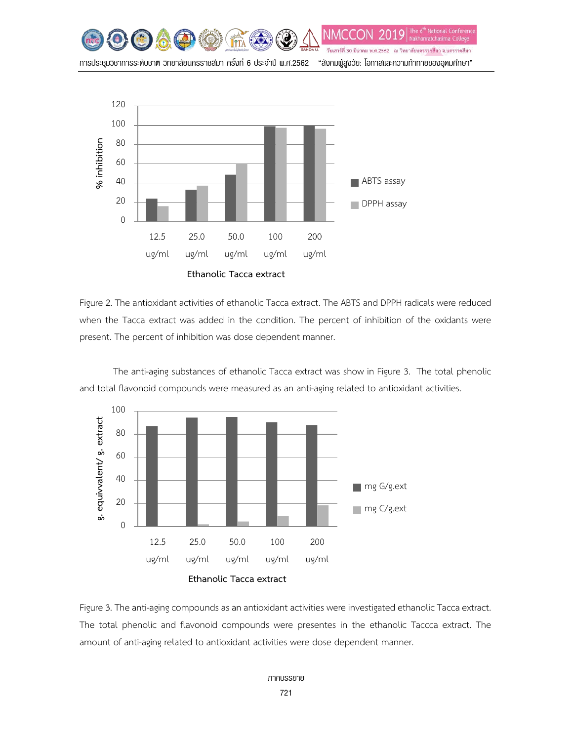



Figure 2. The antioxidant activities of ethanolic Tacca extract. The ABTS and DPPH radicals were reduced when the Tacca extract was added in the condition. The percent of inhibition of the oxidants were present. The percent of inhibition was dose dependent manner.



The anti-aging substances of ethanolic Tacca extract was show in Figure 3. The total phenolic and total flavonoid compounds were measured as an anti-aging related to antioxidant activities.

Figure 3. The anti-aging compounds as an antioxidant activities were investigated ethanolic Tacca extract. The total phenolic and flavonoid compounds were presentes in the ethanolic Taccca extract. The amount of anti-aging related to antioxidant activities were dose dependent manner.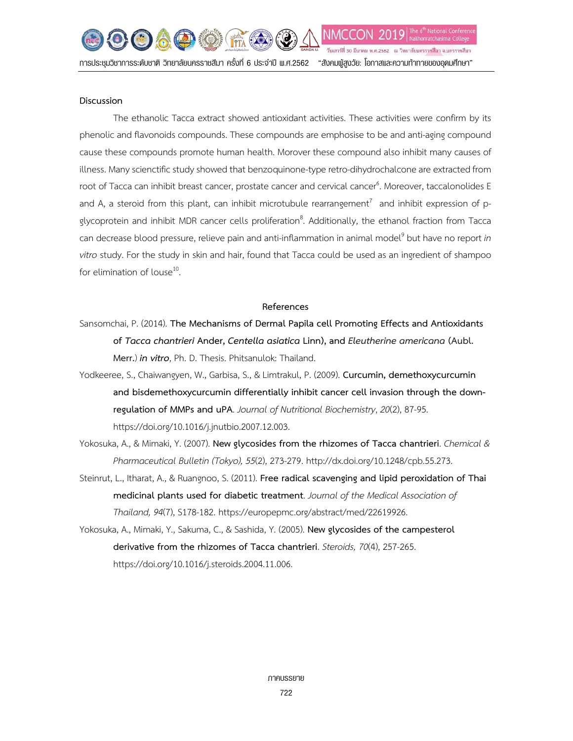NMC วันเสาร์ที่ 30 มีนาคม พ.ศ.2562 - ณ วิทยาลัยนครราชสีมา จ.นครราชสีมา การประชุมวิชาการระดับชาติ วิทยาลัยนครราชสีมา ครั้งที่ 6 ประจําป พ.ศ.2562 "สังคมผูสูงวัย: โอกาสและความทาทายของอุดมศึกษา"

#### **Discussion**

The ethanolic Tacca extract showed antioxidant activities. These activities were confirm by its phenolic and flavonoids compounds. These compounds are emphosise to be and anti-aging compound cause these compounds promote human health. Morover these compound also inhibit many causes of illness. Many scienctific study showed that benzoquinone-type retro-dihydrochalcone are extracted from root of Tacca can inhibit breast cancer, prostate cancer and cervical cancer<sup>6</sup>. Moreover, taccalonolides E and A, a steroid from this plant, can inhibit microtubule rearrangement<sup>7</sup> and inhibit expression of pglycoprotein and inhibit MDR cancer cells proliferation<sup>8</sup>. Additionally, the ethanol fraction from Tacca can decrease blood pressure, relieve pain and anti-inflammation in animal model<sup>9</sup> but have no report *in vitro* study. For the study in skin and hair, found that Tacca could be used as an ingredient of shampoo for elimination of louse $^{10}$ .

#### **References**

- Sansomchai, P. (2014). **The Mechanisms of Dermal Papila cell Promoting Effects and Antioxidants of** *Tacca chantrieri* **Ander,** *Centella asiatica* **Linn), and** *Eleutherine americana* **(Aubl. Merr.**) *in vitro*, Ph. D. Thesis. Phitsanulok: Thailand.
- [Yodkeeree, S.](https://www.ncbi.nlm.nih.gov/pubmed/?term=Yodkeeree%20S%5BAuthor%5D&cauthor=true&cauthor_uid=18495463), [Chaiwangyen,](https://www.ncbi.nlm.nih.gov/pubmed/?term=Chaiwangyen%20W%5BAuthor%5D&cauthor=true&cauthor_uid=18495463) W., [Garbisa,](https://www.ncbi.nlm.nih.gov/pubmed/?term=Garbisa%20S%5BAuthor%5D&cauthor=true&cauthor_uid=18495463) S., & [Limtrakul,](https://www.ncbi.nlm.nih.gov/pubmed/?term=Limtrakul%20P%5BAuthor%5D&cauthor=true&cauthor_uid=18495463) P. (2009). **Curcumin, demethoxycurcumin and bisdemethoxycurcumin differentially inhibit cancer cell invasion through the downregulation of MMPs and uPA**. *Journal of Nutritional Biochemistry*, *20*(2), 87-95. https://doi.org/10.1016/j.jnutbio.2007.12.003.
- Yokosuka, A., & Mimaki, Y. (2007). **New glycosides from the rhizomes of Tacca chantrieri**. *[Chemical](https://www.researchgate.net/journal/0009-2363_CHEMICAL_PHARMACEUTICAL_BULLETIN) & [Pharmaceutical](https://www.researchgate.net/journal/0009-2363_CHEMICAL_PHARMACEUTICAL_BULLETIN) Bulletin (Tokyo), 55*(2), 273-279. http://dx.doi.org/10.1248/cpb.55.273.
- Steinrut, L., Itharat, A., & Ruangnoo, S. (2011). **Free radical scavenging and lipid peroxidation of Thai medicinal plants used for diabetic treatment**. *Journal of the Medical [Association](https://europepmc.org/search;jsessionid=E2190B8C3B0F4F7807E407D8AC233870?query=JOURNAL:%22J+Med+Assoc+Thai%22&page=1) of [Thailand,](https://europepmc.org/search;jsessionid=E2190B8C3B0F4F7807E407D8AC233870?query=JOURNAL:%22J+Med+Assoc+Thai%22&page=1) 94*(7), S178-182. https://europepmc.org/abstract/med/22619926.
- Yokosuka, A., Mimaki, Y., Sakuma, C., & Sashida, Y. (2005). **New glycosides of the campesterol derivative from the rhizomes of Tacca chantrieri**. *Steroids, 70*(4), 257-265. [https://doi.org/10.1016/j.steroids.2004.11.006.](https://doi.org/10.1016/j.steroids.2004.11.006)